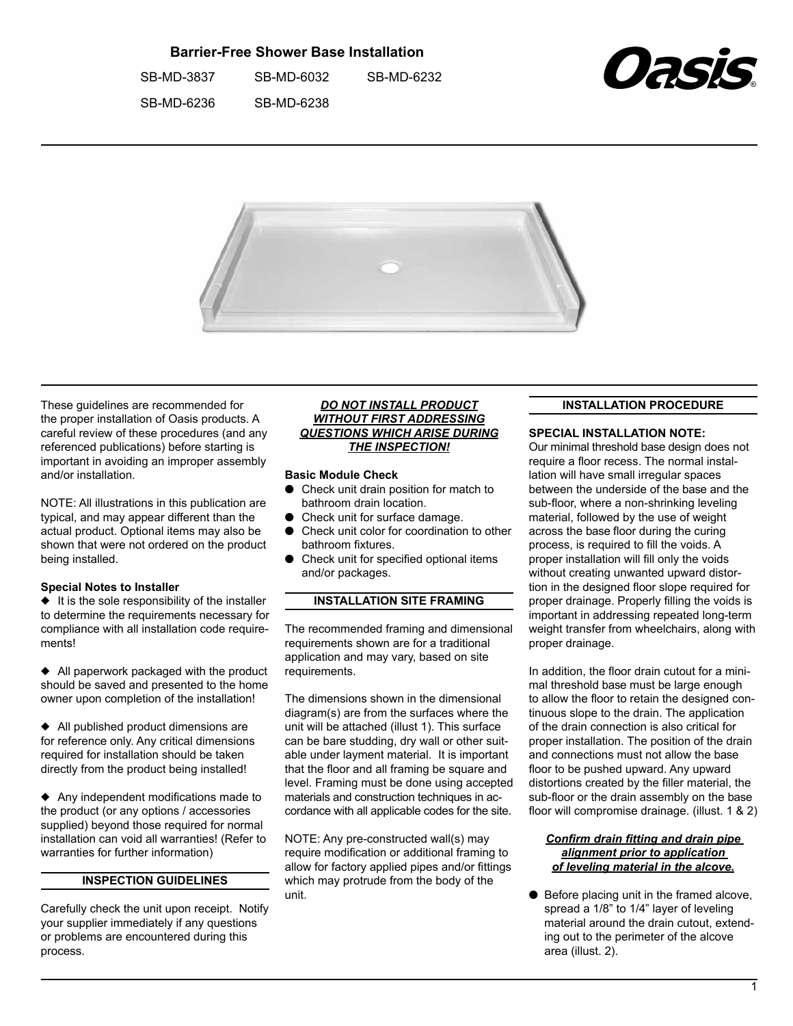# **Barrier-Free Shower Base Installation**

 SB-MD-3837 SB-MD-6032 SB-MD-6232 

 SB-MD-6236 SB-MD-6238





These guidelines are recommended for the proper installation of Oasis products. A careful review of these procedures (and any referenced publications) before starting is important in avoiding an improper assembly and/or installation.

NOTE: All illustrations in this publication are typical, and may appear different than the actual product. Optional items may also be shown that were not ordered on the product being installed.

### **Special Notes to Installer**

 $\bullet$  It is the sole responsibility of the installer to determine the requirements necessary for compliance with all installation code requirements!

 $\triangleleft$  All paperwork packaged with the product should be saved and presented to the home owner upon completion of the installation!

 $\triangleleft$  All published product dimensions are for reference only. Any critical dimensions required for installation should be taken directly from the product being installed!

 $\triangle$  Any independent modifications made to the product (or any options / accessories supplied) beyond those required for normal installation can void all warranties! (Refer to warranties for further information)

## **INSPECTION GUIDELINES**

Carefully check the unit upon receipt. Notify your supplier immediately if any questions or problems are encountered during this process.

#### *DO NOT INSTALL PRODUCT WITHOUT FIRST ADDRESSING QUESTIONS WHICH ARISE DURING THE INSPECTION!*

#### **Basic Module Check**

- Check unit drain position for match to bathroom drain location.
- Check unit for surface damage.
- Check unit color for coordination to other bathroom fixtures.
- $\bullet$  Check unit for specified optional items and/or packages.

### **INSTALLATION SITE FRAMING**

The recommended framing and dimensional requirements shown are for a traditional application and may vary, based on site requirements.

The dimensions shown in the dimensional diagram(s) are from the surfaces where the unit will be attached (illust 1). This surface can be bare studding, dry wall or other suitable under layment material. It is important that the floor and all framing be square and level. Framing must be done using accepted materials and construction techniques in accordance with all applicable codes for the site.

NOTE: Any pre-constructed wall(s) may require modification or additional framing to allow for factory applied pipes and/or fittings which may protrude from the body of the unit.

#### **INSTALLATION PROCEDURE**

#### **SPECIAL INSTALLATION NOTE:**

Our minimal threshold base design does not require a floor recess. The normal installation will have small irregular spaces between the underside of the base and the sub-floor, where a non-shrinking leveling material, followed by the use of weight across the base floor during the curing process, is required to fill the voids. A proper installation will fill only the voids without creating unwanted upward distortion in the designed floor slope required for proper drainage. Properly filling the voids is important in addressing repeated long-term weight transfer from wheelchairs, along with proper drainage.

In addition, the floor drain cutout for a minimal threshold base must be large enough to allow the floor to retain the designed continuous slope to the drain. The application of the drain connection is also critical for proper installation. The position of the drain and connections must not allow the base floor to be pushed upward. Any upward distortions created by the filler material, the sub-floor or the drain assembly on the base floor will compromise drainage. (illust. 1 & 2)

### *Confirm drain fitting and drain pipe alignment prior to application of leveling material in the alcove.*

 $\bullet$  Before placing unit in the framed alcove, spread a 1/8" to 1/4" layer of leveling material around the drain cutout, extending out to the perimeter of the alcove area (illust. 2).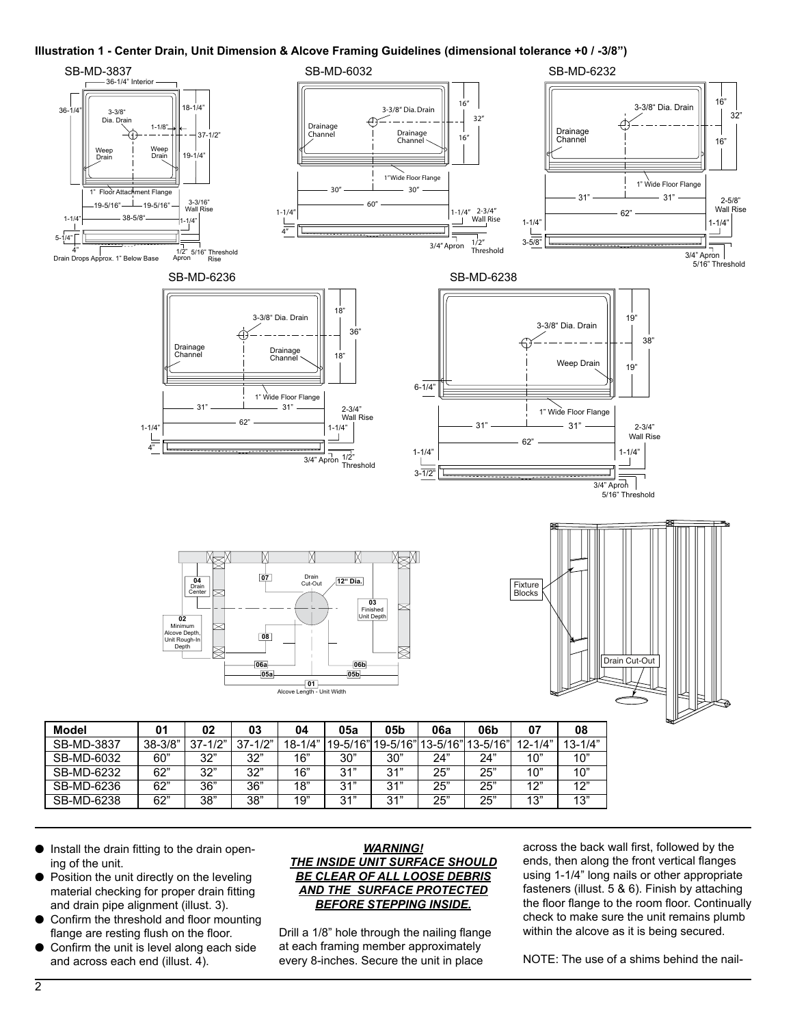#### **Illustration 1 - Center Drain, Unit Dimension & Alcove Framing Guidelines (dimensional tolerance +0 / -3/8")**



- $\bullet$  Install the drain fitting to the drain opening of the unit.
- $\bullet$  Position the unit directly on the leveling material checking for proper drain fitting and drain pipe alignment (illust. 3).
- $\bullet$  Confirm the threshold and floor mounting flange are resting flush on the floor.
- Confirm the unit is level along each side and across each end (illust. 4).

### *WARNING! THE INSIDE UNIT SURFACE SHOULD BE CLEAR OF ALL LOOSE DEBRIS AND THE SURFACE PROTECTED BEFORE STEPPING INSIDE.*

Drill a 1/8" hole through the nailing flange at each framing member approximately every 8-inches. Secure the unit in place

across the back wall first, followed by the ends, then along the front vertical flanges using 1-1/4" long nails or other appropriate fasteners (illust. 5 & 6). Finish by attaching the floor flange to the room floor. Continually check to make sure the unit remains plumb within the alcove as it is being secured.

NOTE: The use of a shims behind the nail-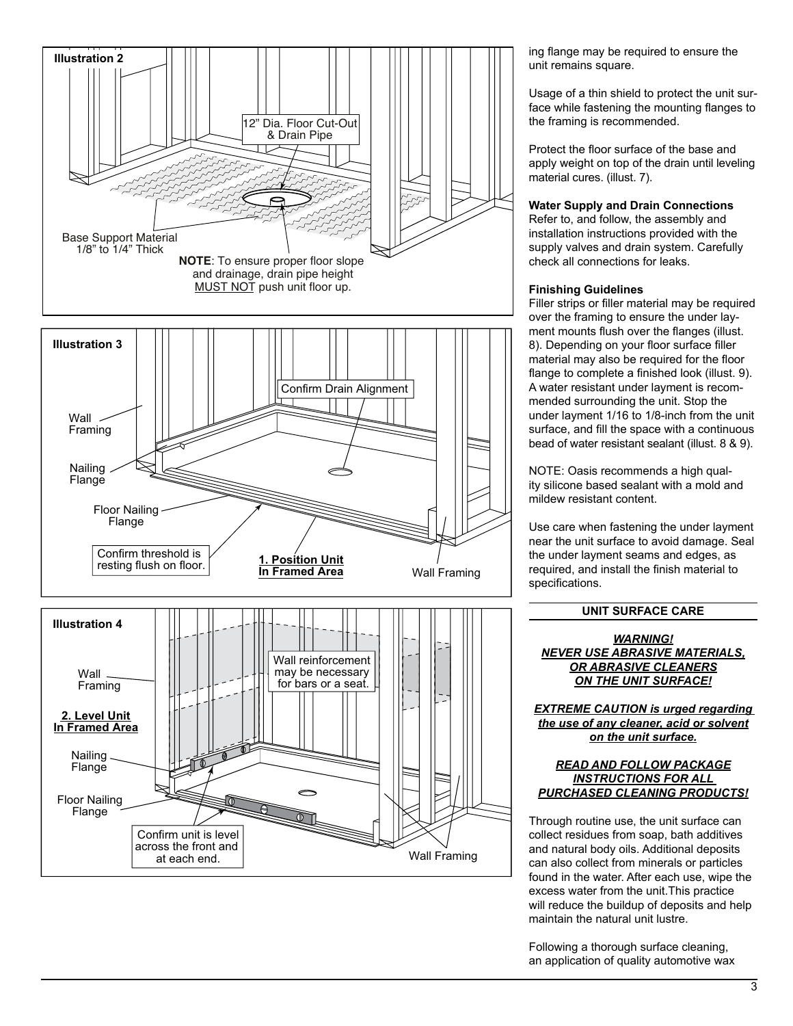

ing flange may be required to ensure the unit remains square.

Usage of a thin shield to protect the unit surface while fastening the mounting flanges to the framing is recommended.

Protect the floor surface of the base and apply weight on top of the drain until leveling material cures. (illust. 7).

## **Water Supply and Drain Connections**

Refer to, and follow, the assembly and installation instructions provided with the supply valves and drain system. Carefully check all connections for leaks.

## **Finishing Guidelines**

Filler strips or filler material may be required over the framing to ensure the under layment mounts flush over the flanges (illust. 8). Depending on your floor surface filler material may also be required for the floor flange to complete a finished look (illust. 9). A water resistant under layment is recommended surrounding the unit. Stop the under layment 1/16 to 1/8-inch from the unit surface, and fill the space with a continuous bead of water resistant sealant (illust. 8 & 9).

NOTE: Oasis recommends a high quality silicone based sealant with a mold and mildew resistant content.

Use care when fastening the under layment near the unit surface to avoid damage. Seal the under layment seams and edges, as required, and install the finish material to specifications.

### **UNIT SURFACE CARE**

*WARNING! NEVER USE ABRASIVE MATERIALS, OR ABRASIVE CLEANERS ON THE UNIT SURFACE!*

*EXTREME CAUTION is urged regarding the use of any cleaner, acid or solvent on the unit surface.*

#### *READ AND FOLLOW PACKAGE INSTRUCTIONS FOR ALL PURCHASED CLEANING PRODUCTS!*

Through routine use, the unit surface can collect residues from soap, bath additives and natural body oils. Additional deposits can also collect from minerals or particles found in the water. After each use, wipe the excess water from the unit.This practice will reduce the buildup of deposits and help maintain the natural unit lustre.

Following a thorough surface cleaning, an application of quality automotive wax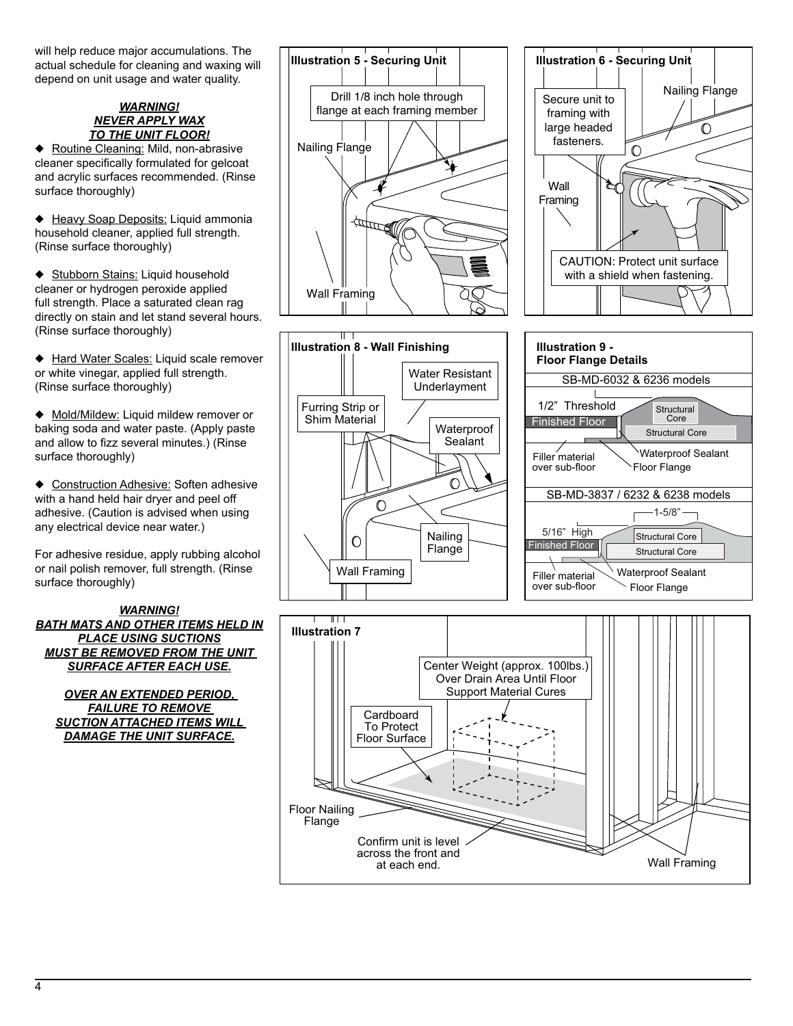will help reduce major accumulations. The actual schedule for cleaning and waxing will depend on unit usage and water quality.

### *WARNING! NEVER APPLY WAX TO THE UNIT FLOOR!*

◆ Routine Cleaning: Mild, non-abrasive cleaner specifically formulated for gelcoat and acrylic surfaces recommended. (Rinse surface thoroughly)

◆ Heavy Soap Deposits: Liquid ammonia household cleaner, applied full strength. (Rinse surface thoroughly)

◆ Stubborn Stains: Liquid household cleaner or hydrogen peroxide applied full strength. Place a saturated clean rag directly on stain and let stand several hours. (Rinse surface thoroughly)

◆ Hard Water Scales: Liquid scale remover or white vinegar, applied full strength. (Rinse surface thoroughly)

◆ Mold/Mildew: Liquid mildew remover or baking soda and water paste. (Apply paste and allow to fizz several minutes.) (Rinse surface thoroughly)

♦ Construction Adhesive: Soften adhesive with a hand held hair dryer and peel off adhesive. (Caution is advised when using any electrical device near water.)

For adhesive residue, apply rubbing alcohol or nail polish remover, full strength. (Rinse surface thoroughly)

*WARNING! BATH MATS AND OTHER ITEMS HELD IN PLACE USING SUCTIONS MUST BE REMOVED FROM THE UNIT SURFACE AFTER EACH USE.*

*OVER AN EXTENDED PERIOD, FAILURE TO REMOVE SUCTION ATTACHED ITEMS WILL DAMAGE THE UNIT SURFACE.*